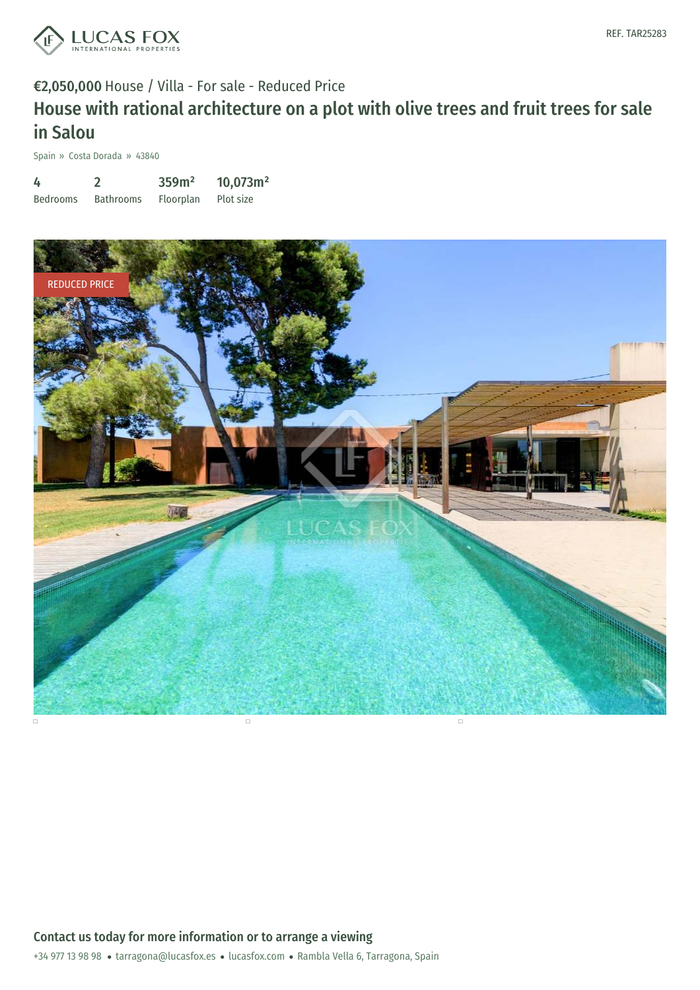

# €2,050,000 House / Villa - For sale - Reduced Price House with rational architecture on a plot with olive trees and fruit trees for sale in Salou

Spain » Costa Dorada » 43840

| 4               |                  | 359m <sup>2</sup> | 10,073m <sup>2</sup> |
|-----------------|------------------|-------------------|----------------------|
| <b>Bedrooms</b> | <b>Bathrooms</b> | Floorplan         | Plot size            |

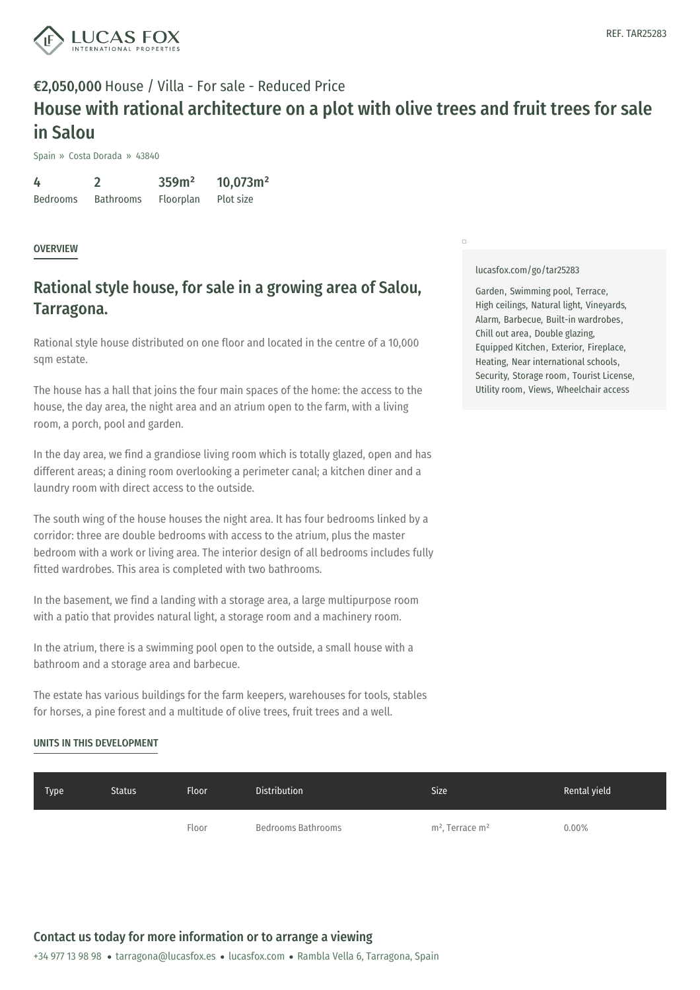

## €2,050,000 House / Villa - For sale - Reduced Price House with rational architecture on a plot with olive trees and fruit trees for sale in Salou

Spain » Costa Dorada » 43840

4 Bedrooms 2 Bathrooms 359m² Floorplan 10,073m² Plot size

### **OVERVIEW**

### Rational style house, for sale in a growing area of Salou, Tarragona.

Rational style house distributed on one floor and located in the centre of a 10,000 sqm estate.

The house has a hall that joins the four main spaces of the home: the access to the house, the day area, the night area and an atrium open to the farm, with a living room, a porch, pool and garden.

In the day area, we find a grandiose living room which is totally glazed, open and has different areas; a dining room overlooking a perimeter canal; a kitchen diner and a laundry room with direct access to the outside.

The south wing of the house houses the night area. It has four bedrooms linked by a corridor: three are double bedrooms with access to the atrium, plus the master bedroom with a work or living area. The interior design of all bedrooms includes fully fitted wardrobes. This area is completed with two bathrooms.

In the basement, we find a landing with a storage area, a large multipurpose room with a patio that provides natural light, a storage room and a machinery room.

In the atrium, there is a swimming pool open to the outside, a small house with a bathroom and a storage area and barbecue.

The estate has various buildings for the farm keepers, warehouses for tools, stables for horses, a pine forest and a [multitud](mailto:tarragona@lucasfox.es)e of [olive](https://www.lucasfox.com) trees, fruit trees and a well.

### UNITS IN THIS DEVELOPMENT

#### [lucasfox.com/go/tar25283](https://www.lucasfox.com/go/tar25283)

 $\Box$ 

Garden, Swimming pool, Terrace, High ceilings, Natural light, Vineyards, Alarm, Barbecue, Built-in wardrobes, Chill out area, Double glazing, Equipped Kitchen, Exterior, Fireplace, Heating, Near international schools, Security, Storage room, Tourist License, Utility room, Views, Wheelchair access

| Type | <b>Status</b> | <b>Floor</b> | <b>Distribution</b> | <b>Size</b>         | Rental yield |
|------|---------------|--------------|---------------------|---------------------|--------------|
|      |               | Floor        | Bedrooms Bathrooms  | $m2$ , Terrace $m2$ | 0.00%        |